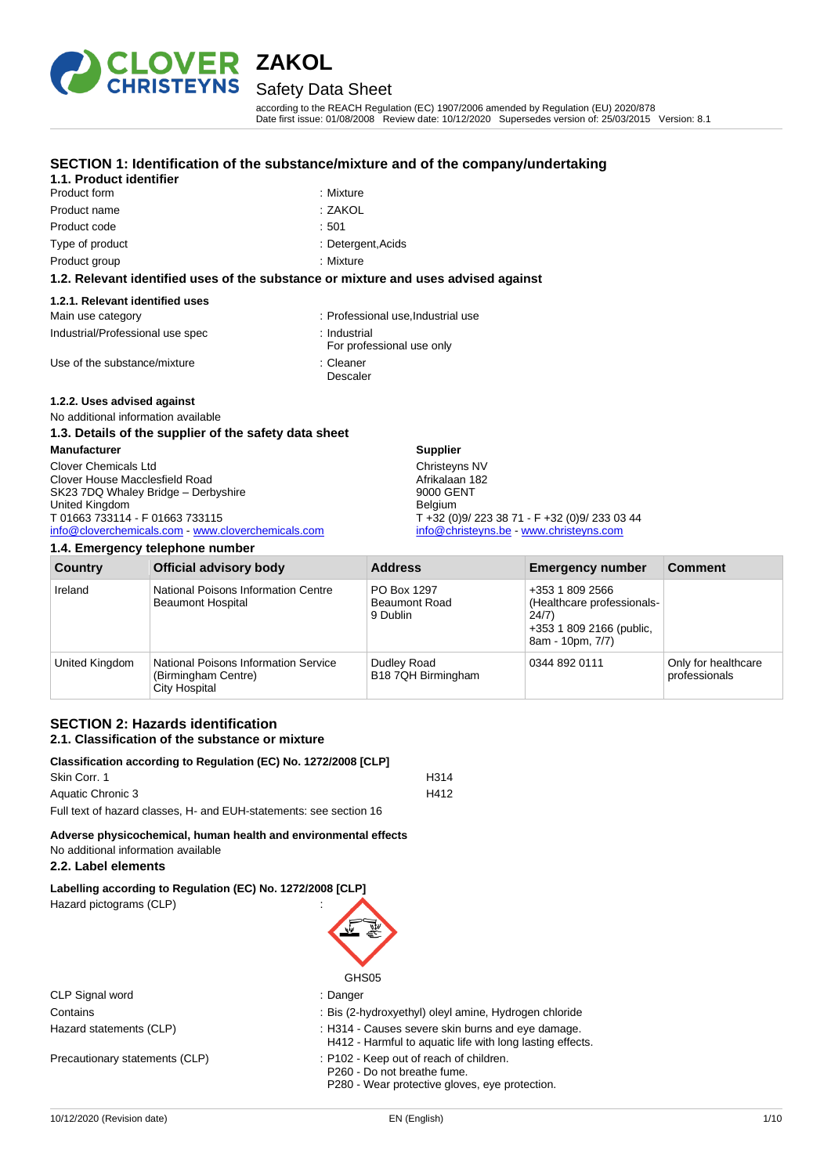

## Safety Data Sheet

according to the REACH Regulation (EC) 1907/2006 amended by Regulation (EU) 2020/878 Date first issue: 01/08/2008 Review date: 10/12/2020 Supersedes version of: 25/03/2015 Version: 8.1

#### **SECTION 1: Identification of the substance/mixture and of the company/undertaking**

: Mixture

### **1.1. Product identifier**

| <b>PIOGUGLIOIII</b> | . iviixture |
|---------------------|-------------|
| Product name        | :ZAKOL      |
| Product code        | :501        |
| Type of product     | : Deterge   |
| Product group       | : Mixture   |

: Detergent,Acids

#### **1.2. Relevant identified uses of the substance or mixture and uses advised against**

#### **1.2.1. Relevant identified uses**

| Main use category                | Professional use.Industrial use           |
|----------------------------------|-------------------------------------------|
| Industrial/Professional use spec | : Industrial<br>For professional use only |
| Use of the substance/mixture     | ∴ Cleaner                                 |

#### **1.2.2. Uses advised against**

No additional information available

#### **1.3. Details of the supplier of the safety data sheet**

| <b>Manufacturer</b>                                | <b>Supplier</b>                               |
|----------------------------------------------------|-----------------------------------------------|
| <b>Clover Chemicals Ltd</b>                        | Christeyns NV                                 |
| Clover House Macclesfield Road                     | Afrikalaan 182                                |
| SK23 7DQ Whaley Bridge - Derbyshire                | 9000 GENT                                     |
| United Kingdom                                     | <b>Belaium</b>                                |
| T 01663 733114 - F 01663 733115                    | T +32 (0)9/ 223 38 71 - F +32 (0)9/ 233 03 44 |
| info@cloverchemicals.com - www.cloverchemicals.com | info@christeyns.be - www.christeyns.com       |

Descaler

#### **1.4. Emergency telephone number**

| <b>Country</b> | <b>Official advisory body</b>                                                | <b>Address</b>                                  | <b>Emergency number</b>                                                                                | <b>Comment</b>                       |
|----------------|------------------------------------------------------------------------------|-------------------------------------------------|--------------------------------------------------------------------------------------------------------|--------------------------------------|
| Ireland        | National Poisons Information Centre<br><b>Beaumont Hospital</b>              | PO Box 1297<br><b>Beaumont Road</b><br>9 Dublin | +353 1 809 2566<br>(Healthcare professionals-<br>24/7)<br>+353 1 809 2166 (public,<br>8am - 10pm, 7/7) |                                      |
| United Kingdom | National Poisons Information Service<br>(Birmingham Centre)<br>City Hospital | Dudley Road<br>B18 7QH Birmingham               | 0344 892 0111                                                                                          | Only for healthcare<br>professionals |

#### **SECTION 2: Hazards identification 2.1. Classification of the substance or mixture**

#### **Classification according to Regulation (EC) No. 1272/2008 [CLP]** Skin Corr. 1 H314 Aquatic Chronic 3 H412 Full text of hazard classes, H- and EUH-statements: see section 16

#### **Adverse physicochemical, human health and environmental effects** No additional information available

### **2.2. Label elements**

### **Labelling according to Regulation (EC) No. 1272/2008 [CLP]**

Hazard pictograms (CLP) :

CLP Signal word : Danger

Precautionary statements (CLP) : P102 - Keep out of reach of children.



- Contains : Bis (2-hydroxyethyl) oleyl amine, Hydrogen chloride
- Hazard statements (CLP) : H314 Causes severe skin burns and eye damage.
	- H412 Harmful to aquatic life with long lasting effects.
	-

P260 - Do not breathe fume.

P280 - Wear protective gloves, eye protection.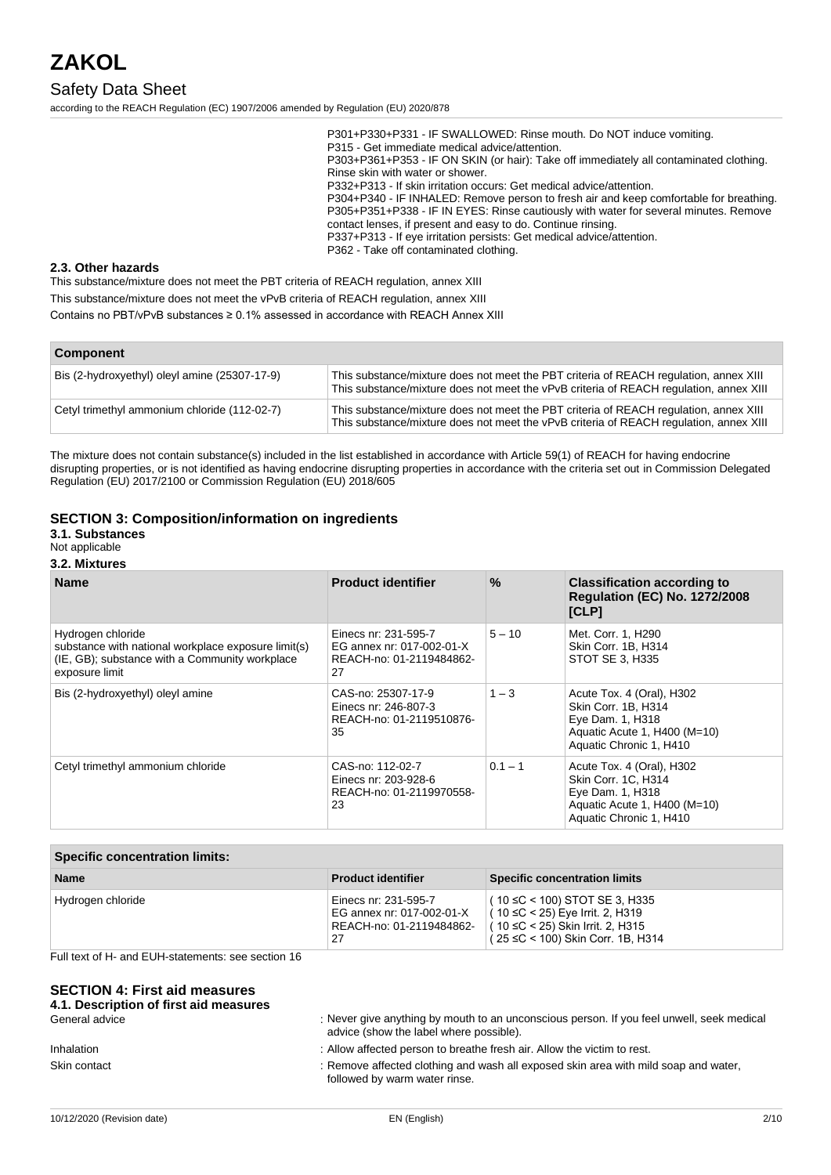### Safety Data Sheet

according to the REACH Regulation (EC) 1907/2006 amended by Regulation (EU) 2020/878

P301+P330+P331 - IF SWALLOWED: Rinse mouth. Do NOT induce vomiting. P315 - Get immediate medical advice/attention. P303+P361+P353 - IF ON SKIN (or hair): Take off immediately all contaminated clothing. Rinse skin with water or shower. P332+P313 - If skin irritation occurs: Get medical advice/attention. P304+P340 - IF INHALED: Remove person to fresh air and keep comfortable for breathing. P305+P351+P338 - IF IN EYES: Rinse cautiously with water for several minutes. Remove contact lenses, if present and easy to do. Continue rinsing. P337+P313 - If eye irritation persists: Get medical advice/attention. P362 - Take off contaminated clothing.

#### **2.3. Other hazards**

This substance/mixture does not meet the PBT criteria of REACH regulation, annex XIII This substance/mixture does not meet the vPvB criteria of REACH regulation, annex XIII Contains no PBT/vPvB substances ≥ 0.1% assessed in accordance with REACH Annex XIII

| <b>Component</b>                              |                                                                                                                                                                                 |  |
|-----------------------------------------------|---------------------------------------------------------------------------------------------------------------------------------------------------------------------------------|--|
| Bis (2-hydroxyethyl) oleyl amine (25307-17-9) | This substance/mixture does not meet the PBT criteria of REACH regulation, annex XIII<br>This substance/mixture does not meet the vPvB criteria of REACH requlation, annex XIII |  |
| Cetyl trimethyl ammonium chloride (112-02-7)  | This substance/mixture does not meet the PBT criteria of REACH regulation, annex XIII<br>This substance/mixture does not meet the vPvB criteria of REACH regulation, annex XIII |  |

The mixture does not contain substance(s) included in the list established in accordance with Article 59(1) of REACH for having endocrine disrupting properties, or is not identified as having endocrine disrupting properties in accordance with the criteria set out in Commission Delegated Regulation (EU) 2017/2100 or Commission Regulation (EU) 2018/605

#### **SECTION 3: Composition/information on ingredients**

#### **3.1. Substances**

Not applicable

#### **3.2. Mixtures**

| <b>Name</b>                                                                                                                                  | <b>Product identifier</b>                                                           | $\frac{9}{6}$ | <b>Classification according to</b><br><b>Regulation (EC) No. 1272/2008</b><br>[CLP]                                             |
|----------------------------------------------------------------------------------------------------------------------------------------------|-------------------------------------------------------------------------------------|---------------|---------------------------------------------------------------------------------------------------------------------------------|
| Hydrogen chloride<br>substance with national workplace exposure limit(s)<br>(IE, GB); substance with a Community workplace<br>exposure limit | Einecs nr: 231-595-7<br>EG annex nr: 017-002-01-X<br>REACH-no: 01-2119484862-<br>27 | $5 - 10$      | Met. Corr. 1, H290<br>Skin Corr. 1B, H314<br>STOT SE 3, H335                                                                    |
| Bis (2-hydroxyethyl) oleyl amine                                                                                                             | CAS-no: 25307-17-9<br>Einecs nr: 246-807-3<br>REACH-no: 01-2119510876-<br>35        | $1 - 3$       | Acute Tox. 4 (Oral), H302<br>Skin Corr. 1B, H314<br>Eye Dam. 1, H318<br>Aquatic Acute 1, H400 (M=10)<br>Aquatic Chronic 1, H410 |
| Cetyl trimethyl ammonium chloride                                                                                                            | CAS-no: 112-02-7<br>Einecs nr: 203-928-6<br>REACH-no: 01-2119970558-<br>23          | $0.1 - 1$     | Acute Tox. 4 (Oral), H302<br>Skin Corr. 1C, H314<br>Eye Dam. 1, H318<br>Aquatic Acute 1, H400 (M=10)<br>Aquatic Chronic 1, H410 |

| <b>Specific concentration limits:</b>                                               |                                                                                                                                                     |  |
|-------------------------------------------------------------------------------------|-----------------------------------------------------------------------------------------------------------------------------------------------------|--|
| <b>Product identifier</b>                                                           | <b>Specific concentration limits</b>                                                                                                                |  |
| Einecs nr: 231-595-7<br>EG annex nr: 017-002-01-X<br>REACH-no: 01-2119484862-<br>27 | $(10 \leq C < 100)$ STOT SE 3, H335<br>l ( 10 ≤C < 25) Eye Irrit. 2, H319<br>(10 ≤C < 25) Skin Irrit. 2, H315<br>( 25 ≤C < 100) Skin Corr. 1B, H314 |  |
|                                                                                     |                                                                                                                                                     |  |

Full text of H- and EUH-statements: see section 16

#### **SECTION 4: First aid measures**

| 4.1. Description of first aid measures |                                                                                                                                      |
|----------------------------------------|--------------------------------------------------------------------------------------------------------------------------------------|
| General advice                         | : Never give anything by mouth to an unconscious person. If you feel unwell, seek medical<br>advice (show the label where possible). |
| <b>Inhalation</b>                      | : Allow affected person to breathe fresh air. Allow the victim to rest.                                                              |
| Skin contact                           | : Remove affected clothing and wash all exposed skin area with mild soap and water,<br>followed by warm water rinse.                 |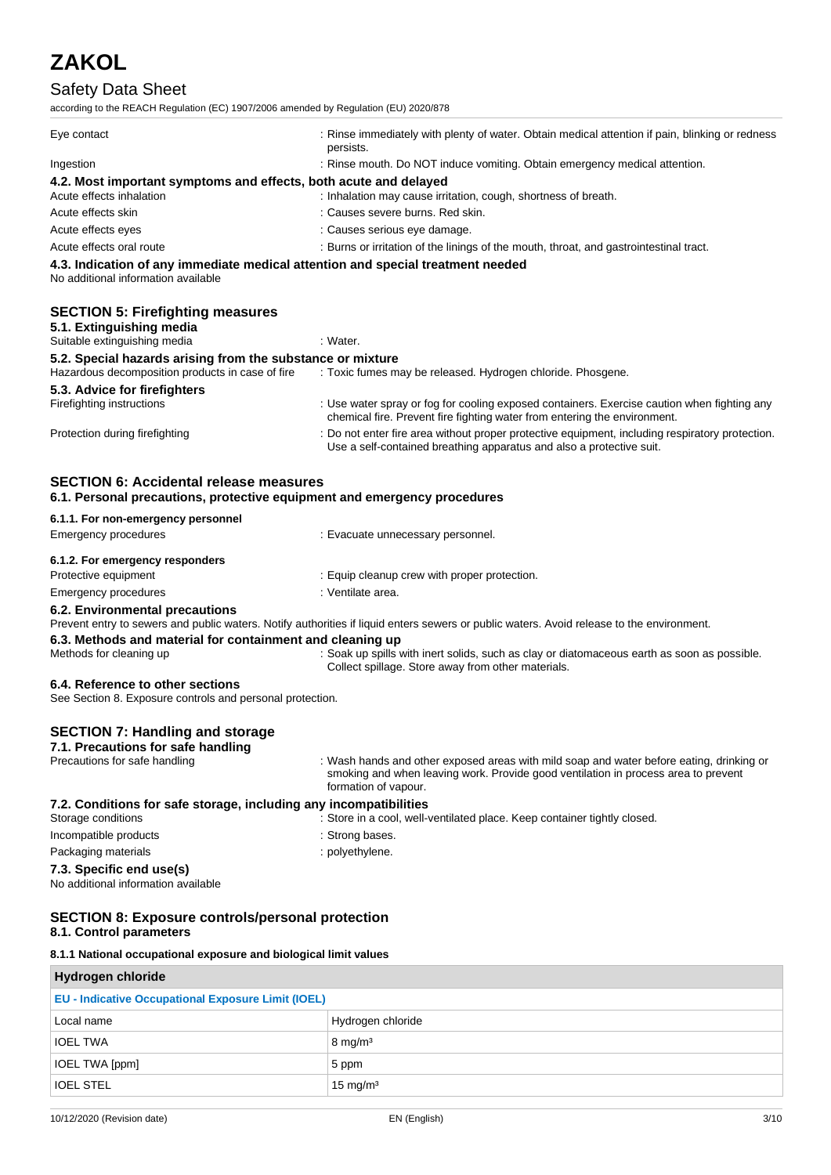### Safety Data Sheet

according to the REACH Regulation (EC) 1907/2006 amended by Regulation (EU) 2020/878

| Eye contact                                                                                                                                                                | : Rinse immediately with plenty of water. Obtain medical attention if pain, blinking or redness<br>persists.                                                             |
|----------------------------------------------------------------------------------------------------------------------------------------------------------------------------|--------------------------------------------------------------------------------------------------------------------------------------------------------------------------|
| Ingestion                                                                                                                                                                  | : Rinse mouth. Do NOT induce vomiting. Obtain emergency medical attention.                                                                                               |
| 4.2. Most important symptoms and effects, both acute and delayed                                                                                                           |                                                                                                                                                                          |
| Acute effects inhalation                                                                                                                                                   | : Inhalation may cause irritation, cough, shortness of breath.                                                                                                           |
| Acute effects skin                                                                                                                                                         | : Causes severe burns. Red skin.                                                                                                                                         |
| Acute effects eyes                                                                                                                                                         | : Causes serious eye damage.                                                                                                                                             |
| Acute effects oral route                                                                                                                                                   | : Burns or irritation of the linings of the mouth, throat, and gastrointestinal tract.                                                                                   |
| 4.3. Indication of any immediate medical attention and special treatment needed                                                                                            |                                                                                                                                                                          |
| No additional information available<br><b>SECTION 5: Firefighting measures</b>                                                                                             |                                                                                                                                                                          |
|                                                                                                                                                                            | : Water.                                                                                                                                                                 |
|                                                                                                                                                                            |                                                                                                                                                                          |
| 5.1. Extinguishing media<br>Suitable extinguishing media<br>5.2. Special hazards arising from the substance or mixture<br>Hazardous decomposition products in case of fire | : Toxic fumes may be released. Hydrogen chloride. Phosgene.                                                                                                              |
| 5.3. Advice for firefighters<br>Firefighting instructions                                                                                                                  | : Use water spray or fog for cooling exposed containers. Exercise caution when fighting any<br>chemical fire. Prevent fire fighting water from entering the environment. |

| 6.1.1. For non-emergency personnel                                                            |                                                                                                                                                                                                        |
|-----------------------------------------------------------------------------------------------|--------------------------------------------------------------------------------------------------------------------------------------------------------------------------------------------------------|
| <b>Emergency procedures</b>                                                                   | : Evacuate unnecessary personnel.                                                                                                                                                                      |
| 6.1.2. For emergency responders                                                               |                                                                                                                                                                                                        |
| Protective equipment                                                                          | : Equip cleanup crew with proper protection.                                                                                                                                                           |
| Emergency procedures                                                                          | : Ventilate area.                                                                                                                                                                                      |
| 6.2. Environmental precautions                                                                | Prevent entry to sewers and public waters. Notify authorities if liquid enters sewers or public waters. Avoid release to the environment.                                                              |
| 6.3. Methods and material for containment and cleaning up                                     |                                                                                                                                                                                                        |
| Methods for cleaning up                                                                       | : Soak up spills with inert solids, such as clay or diatomaceous earth as soon as possible.<br>Collect spillage. Store away from other materials.                                                      |
| 6.4. Reference to other sections<br>See Section 8. Exposure controls and personal protection. |                                                                                                                                                                                                        |
| <b>SECTION 7: Handling and storage</b><br>7.1. Precautions for safe handling                  |                                                                                                                                                                                                        |
| Precautions for safe handling                                                                 | : Wash hands and other exposed areas with mild soap and water before eating, drinking or<br>smoking and when leaving work. Provide good ventilation in process area to prevent<br>formation of vapour. |
| 7.2. Conditions for safe storage, including any incompatibilities<br>Storage conditions       | : Store in a cool, well-ventilated place. Keep container tightly closed.                                                                                                                               |
| Incompatible products                                                                         | : Strong bases.                                                                                                                                                                                        |
| Packaging materials                                                                           | : polyethylene.                                                                                                                                                                                        |
| 7.3. Specific end use(s)<br>No additional information available                               |                                                                                                                                                                                                        |
| <b>SECTION 8: Exposure controls/personal protection</b><br>8.1. Control parameters            |                                                                                                                                                                                                        |

**8.1.1 National occupational exposure and biological limit values**

| Hydrogen chloride                                         |                     |  |
|-----------------------------------------------------------|---------------------|--|
| <b>EU - Indicative Occupational Exposure Limit (IOEL)</b> |                     |  |
| Local name                                                | Hydrogen chloride   |  |
| <b>IOEL TWA</b>                                           | $8 \text{ mg/m}^3$  |  |
| IOEL TWA [ppm]                                            | 5 ppm               |  |
| <b>IOEL STEL</b>                                          | $15 \text{ mg/m}^3$ |  |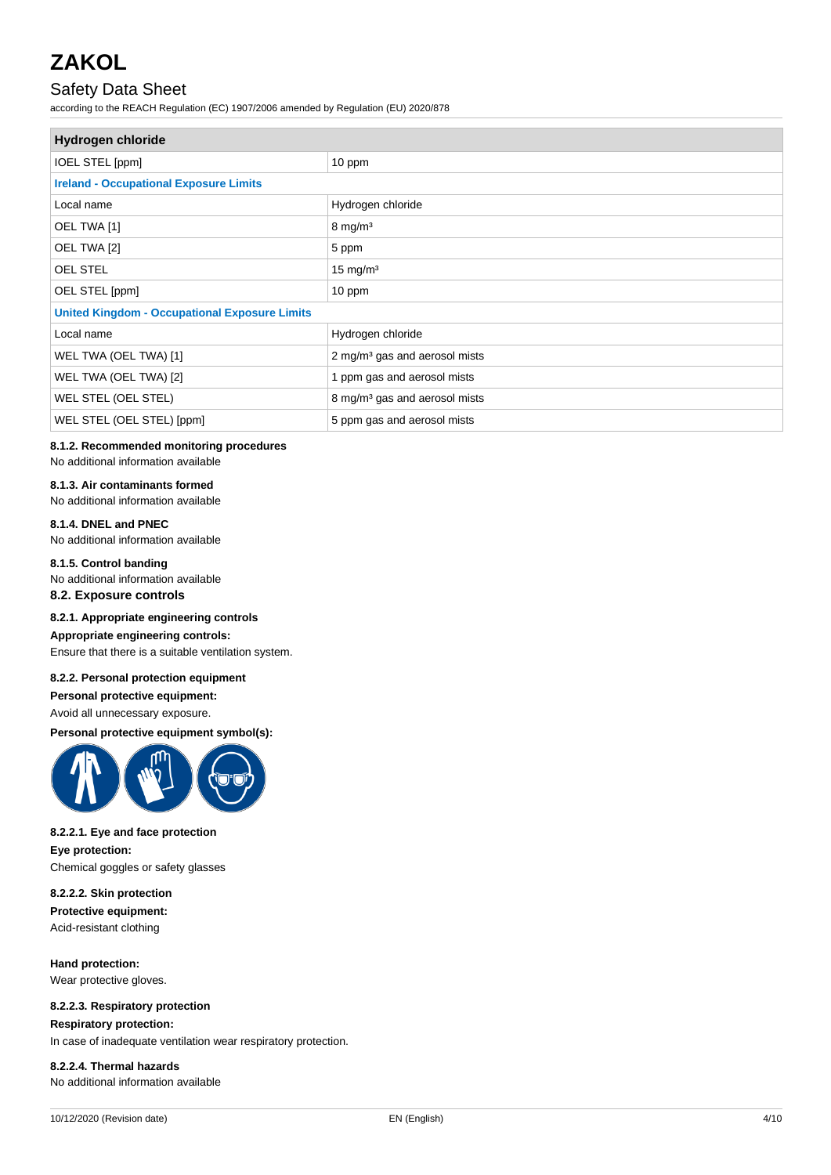### Safety Data Sheet

according to the REACH Regulation (EC) 1907/2006 amended by Regulation (EU) 2020/878

| <b>Hydrogen chloride</b>                             |                                           |  |
|------------------------------------------------------|-------------------------------------------|--|
| <b>IOEL STEL [ppm]</b>                               | 10 ppm                                    |  |
| <b>Ireland - Occupational Exposure Limits</b>        |                                           |  |
| Local name                                           | Hydrogen chloride                         |  |
| OEL TWA [1]                                          | $8 \text{ mg/m}^3$                        |  |
| OEL TWA [2]                                          | 5 ppm                                     |  |
| OEL STEL                                             | $15 \text{ mg/m}^3$                       |  |
| OEL STEL [ppm]                                       | 10 ppm                                    |  |
| <b>United Kingdom - Occupational Exposure Limits</b> |                                           |  |
| Local name                                           | Hydrogen chloride                         |  |
| WEL TWA (OEL TWA) [1]                                | 2 mg/m <sup>3</sup> gas and aerosol mists |  |
| WEL TWA (OEL TWA) [2]                                | 1 ppm gas and aerosol mists               |  |
| WEL STEL (OEL STEL)                                  | 8 mg/m <sup>3</sup> gas and aerosol mists |  |
| WEL STEL (OEL STEL) [ppm]                            | 5 ppm gas and aerosol mists               |  |

#### **8.1.2. Recommended monitoring procedures** No additional information available

### **8.1.3. Air contaminants formed**

No additional information available

#### **8.1.4. DNEL and PNEC**

No additional information available

#### **8.1.5. Control banding**

No additional information available

#### **8.2. Exposure controls**

#### **8.2.1. Appropriate engineering controls**

### **Appropriate engineering controls:**

Ensure that there is a suitable ventilation system.

#### **8.2.2. Personal protection equipment**

**Personal protective equipment:**

#### Avoid all unnecessary exposure.

**Personal protective equipment symbol(s):**



#### **8.2.2.1. Eye and face protection**

**Eye protection:** Chemical goggles or safety glasses

#### **8.2.2.2. Skin protection**

**Protective equipment:** Acid-resistant clothing

#### **Hand protection:**

Wear protective gloves.

#### **8.2.2.3. Respiratory protection**

**Respiratory protection:** In case of inadequate ventilation wear respiratory protection.

#### **8.2.2.4. Thermal hazards**

No additional information available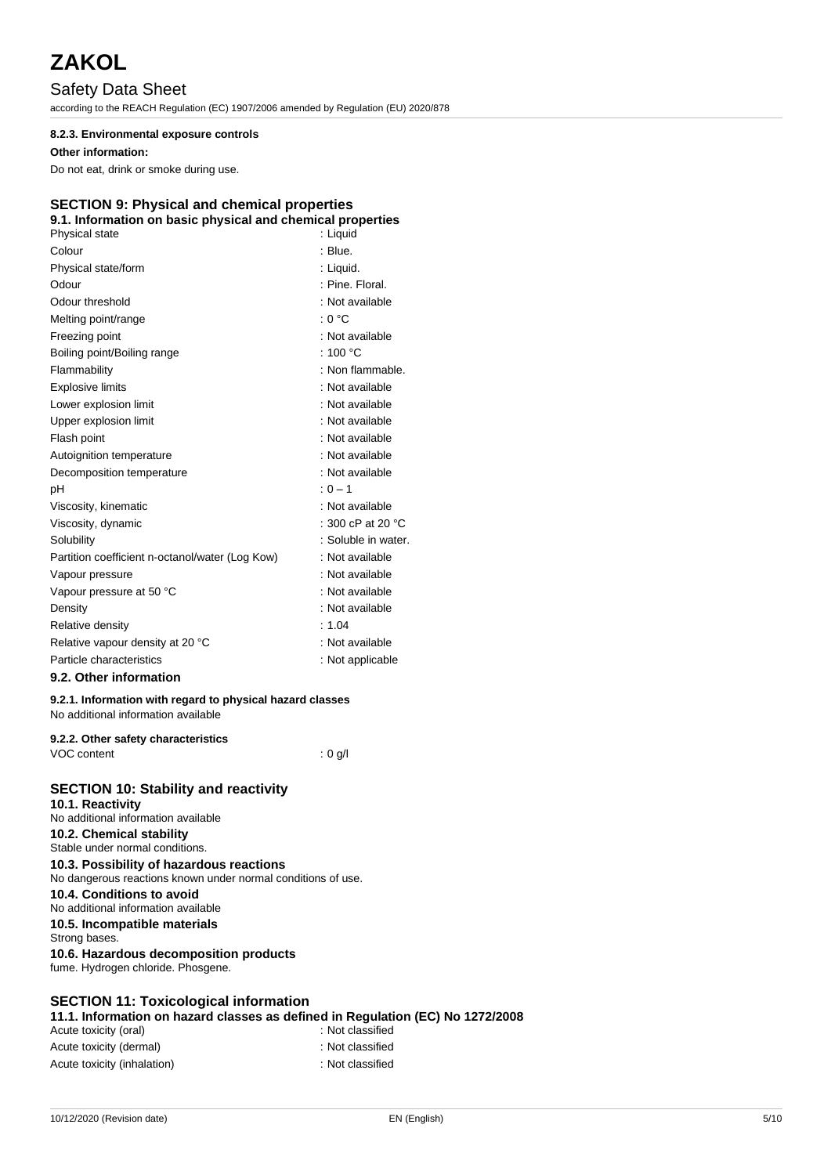### Safety Data Sheet

according to the REACH Regulation (EC) 1907/2006 amended by Regulation (EU) 2020/878

#### **8.2.3. Environmental exposure controls**

#### **Other information:**

Do not eat, drink or smoke during use.

#### **SECTION 9: Physical and chemical properties**

| 9.1. Information on basic physical and chemical properties |                             |
|------------------------------------------------------------|-----------------------------|
| Physical state                                             | : Liquid                    |
| Colour                                                     | : Blue.                     |
| Physical state/form                                        | : Liquid.                   |
| Odour                                                      | : Pine. Floral.             |
| Odour threshold                                            | : Not available             |
| Melting point/range                                        | : 0 °C                      |
| Freezing point                                             | : Not available             |
| Boiling point/Boiling range                                | : 100 $^{\circ}$ C          |
| Flammability                                               | : Non flammable.            |
| <b>Explosive limits</b>                                    | : Not available             |
| Lower explosion limit                                      | : Not available             |
| Upper explosion limit                                      | : Not available             |
| Flash point                                                | : Not available             |
| Autoignition temperature                                   | : Not available             |
| Decomposition temperature                                  | : Not available             |
| рH                                                         | $: 0 - 1$                   |
| Viscosity, kinematic                                       | : Not available             |
| Viscosity, dynamic                                         | : 300 cP at 20 $^{\circ}$ C |
| Solubility                                                 | : Soluble in water.         |
| Partition coefficient n-octanol/water (Log Kow)            | : Not available             |
| Vapour pressure                                            | : Not available             |
| Vapour pressure at 50 °C                                   | : Not available             |
| Density                                                    | : Not available             |
| Relative density                                           | : 1.04                      |
| Relative vapour density at 20 °C                           | : Not available             |
| Particle characteristics                                   | : Not applicable            |
| 9.2. Other information                                     |                             |

#### **9.2.1. Information with regard to physical hazard classes**

No additional information available

#### **9.2.2. Other safety characteristics**

VOC content : 0 g/l

| <b>SECTION 10: Stability and reactivity</b>                                  |
|------------------------------------------------------------------------------|
| 10.1. Reactivity                                                             |
| No additional information available                                          |
| 10.2. Chemical stability                                                     |
| Stable under normal conditions.                                              |
| 10.3. Possibility of hazardous reactions                                     |
| No dangerous reactions known under normal conditions of use.                 |
| 10.4. Conditions to avoid<br>No additional information available             |
| 10.5. Incompatible materials<br>Strong bases.                                |
| 10.6. Hazardous decomposition products<br>fume. Hydrogen chloride. Phosgene. |

#### **SECTION 11: Toxicological information**

**11.1. Information on hazard classes as defined in Regulation (EC) No 1272/2008** Acute toxicity (oral) Acute toxicity (dermal) **interest and the control of the control of the control of the control of the control of the control of the control of the control of the control of the control of the control of the control of the** Acute toxicity (inhalation)  $\qquad \qquad$ : Not classified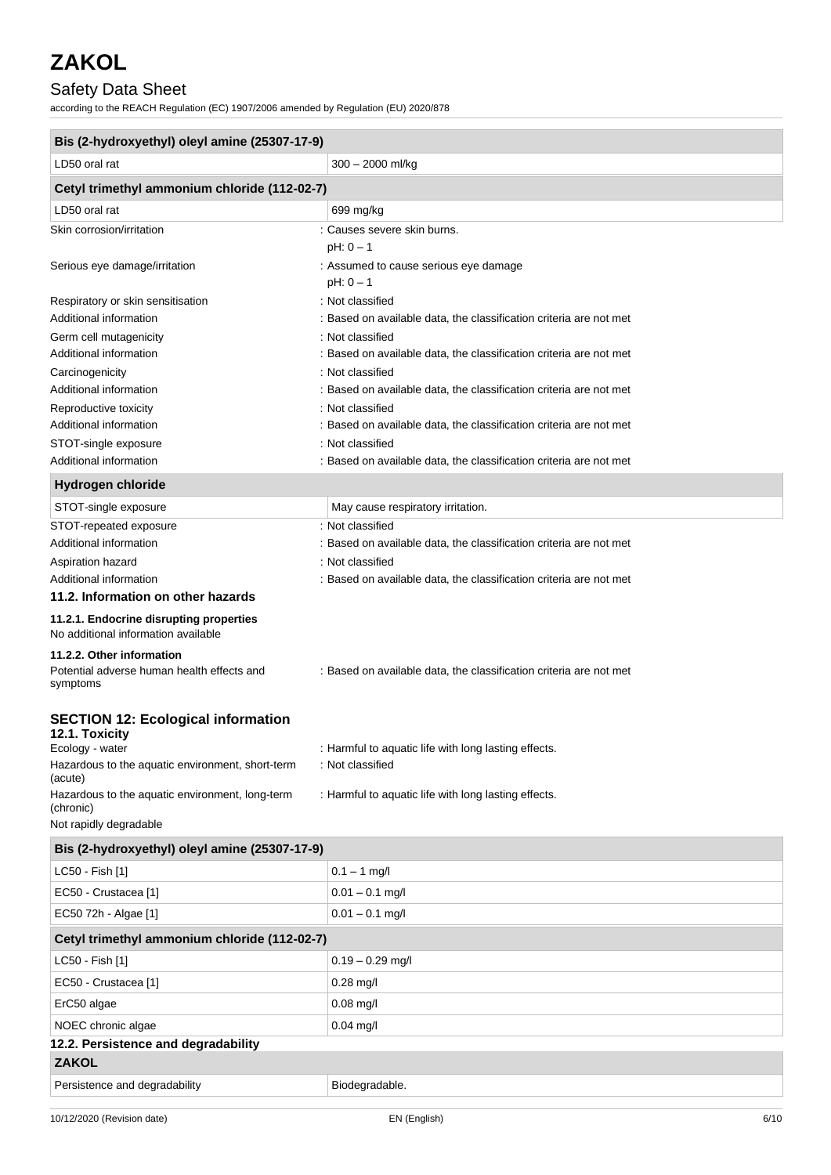### Safety Data Sheet

according to the REACH Regulation (EC) 1907/2006 amended by Regulation (EU) 2020/878

| Bis (2-hydroxyethyl) oleyl amine (25307-17-9)                                                                                      |                                                                                        |  |
|------------------------------------------------------------------------------------------------------------------------------------|----------------------------------------------------------------------------------------|--|
| LD50 oral rat                                                                                                                      | $300 - 2000$ ml/kg                                                                     |  |
| Cetyl trimethyl ammonium chloride (112-02-7)                                                                                       |                                                                                        |  |
| LD50 oral rat                                                                                                                      | 699 mg/kg                                                                              |  |
| Skin corrosion/irritation                                                                                                          | : Causes severe skin burns.                                                            |  |
|                                                                                                                                    | $pH: 0 - 1$                                                                            |  |
| Serious eye damage/irritation                                                                                                      | : Assumed to cause serious eye damage                                                  |  |
|                                                                                                                                    | $pH: 0 - 1$                                                                            |  |
| Respiratory or skin sensitisation                                                                                                  | : Not classified                                                                       |  |
| Additional information                                                                                                             | : Based on available data, the classification criteria are not met                     |  |
| Germ cell mutagenicity                                                                                                             | : Not classified                                                                       |  |
| Additional information                                                                                                             | : Based on available data, the classification criteria are not met<br>: Not classified |  |
| Carcinogenicity<br>Additional information                                                                                          | : Based on available data, the classification criteria are not met                     |  |
| Reproductive toxicity                                                                                                              | : Not classified                                                                       |  |
| Additional information                                                                                                             | : Based on available data, the classification criteria are not met                     |  |
| STOT-single exposure                                                                                                               | : Not classified                                                                       |  |
| Additional information                                                                                                             | : Based on available data, the classification criteria are not met                     |  |
| <b>Hydrogen chloride</b>                                                                                                           |                                                                                        |  |
| STOT-single exposure                                                                                                               | May cause respiratory irritation.                                                      |  |
| STOT-repeated exposure                                                                                                             | : Not classified                                                                       |  |
| Additional information                                                                                                             | : Based on available data, the classification criteria are not met                     |  |
| Aspiration hazard                                                                                                                  | : Not classified                                                                       |  |
| Additional information                                                                                                             | : Based on available data, the classification criteria are not met                     |  |
| 11.2. Information on other hazards                                                                                                 |                                                                                        |  |
| 11.2.1. Endocrine disrupting properties<br>No additional information available                                                     |                                                                                        |  |
| 11.2.2. Other information<br>Potential adverse human health effects and<br>symptoms                                                | : Based on available data, the classification criteria are not met                     |  |
| <b>SECTION 12: Ecological information</b><br>12.1. Toxicity<br>Ecology - water<br>Hazardous to the aquatic environment, short-term | : Harmful to aquatic life with long lasting effects.<br>: Not classified               |  |
| (acute)                                                                                                                            |                                                                                        |  |
| Hazardous to the aquatic environment, long-term<br>(chronic)                                                                       | : Harmful to aquatic life with long lasting effects.                                   |  |
| Not rapidly degradable                                                                                                             |                                                                                        |  |
| Bis (2-hydroxyethyl) oleyl amine (25307-17-9)                                                                                      |                                                                                        |  |
| LC50 - Fish [1]                                                                                                                    | $0.1 - 1$ mg/l                                                                         |  |
| EC50 - Crustacea [1]                                                                                                               | $0.01 - 0.1$ mg/l                                                                      |  |
| EC50 72h - Algae [1]                                                                                                               | $0.01 - 0.1$ mg/l                                                                      |  |
| Cetyl trimethyl ammonium chloride (112-02-7)                                                                                       |                                                                                        |  |
| LC50 - Fish [1]                                                                                                                    | $0.19 - 0.29$ mg/l                                                                     |  |
| EC50 - Crustacea [1]                                                                                                               | $0.28$ mg/l                                                                            |  |
| ErC50 algae                                                                                                                        | $0.08$ mg/l                                                                            |  |
| NOEC chronic algae                                                                                                                 | $0.04$ mg/l                                                                            |  |
| 12.2. Persistence and degradability                                                                                                |                                                                                        |  |
| <b>ZAKOL</b>                                                                                                                       |                                                                                        |  |
| Persistence and degradability                                                                                                      | Biodegradable.                                                                         |  |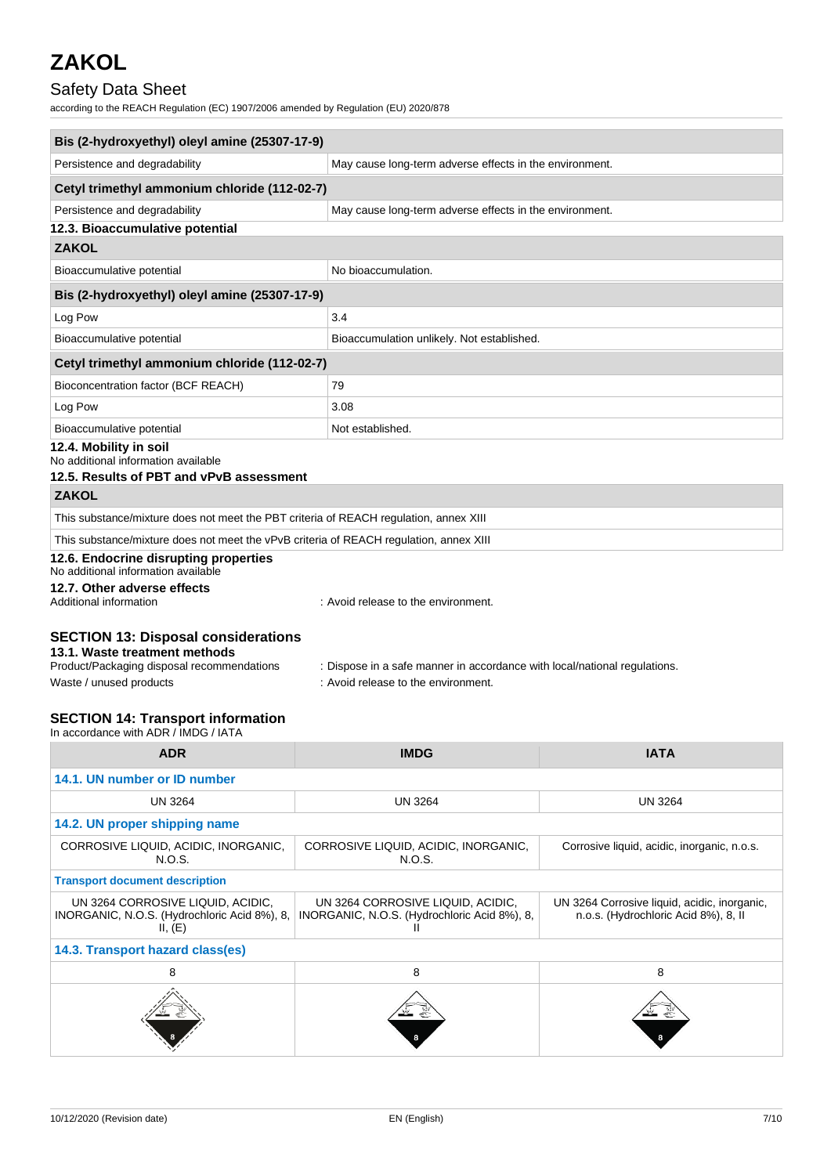### Safety Data Sheet

according to the REACH Regulation (EC) 1907/2006 amended by Regulation (EU) 2020/878

| Bis (2-hydroxyethyl) oleyl amine (25307-17-9)                                                                             |                                                                           |  |
|---------------------------------------------------------------------------------------------------------------------------|---------------------------------------------------------------------------|--|
| Persistence and degradability                                                                                             | May cause long-term adverse effects in the environment.                   |  |
| Cetyl trimethyl ammonium chloride (112-02-7)                                                                              |                                                                           |  |
| Persistence and degradability                                                                                             | May cause long-term adverse effects in the environment.                   |  |
| 12.3. Bioaccumulative potential                                                                                           |                                                                           |  |
| <b>ZAKOL</b>                                                                                                              |                                                                           |  |
| Bioaccumulative potential                                                                                                 | No bioaccumulation.                                                       |  |
| Bis (2-hydroxyethyl) oleyl amine (25307-17-9)                                                                             |                                                                           |  |
| Log Pow                                                                                                                   | 3.4                                                                       |  |
| Bioaccumulative potential                                                                                                 | Bioaccumulation unlikely. Not established.                                |  |
| Cetyl trimethyl ammonium chloride (112-02-7)                                                                              |                                                                           |  |
| Bioconcentration factor (BCF REACH)                                                                                       | 79                                                                        |  |
| Log Pow                                                                                                                   | 3.08                                                                      |  |
| Bioaccumulative potential                                                                                                 | Not established.                                                          |  |
| 12.4. Mobility in soil<br>No additional information available<br>12.5. Results of PBT and vPvB assessment                 |                                                                           |  |
| <b>ZAKOL</b>                                                                                                              |                                                                           |  |
| This substance/mixture does not meet the PBT criteria of REACH regulation, annex XIII                                     |                                                                           |  |
| This substance/mixture does not meet the vPvB criteria of REACH regulation, annex XIII                                    |                                                                           |  |
| 12.6. Endocrine disrupting properties<br>No additional information available                                              |                                                                           |  |
| 12.7. Other adverse effects<br>Additional information                                                                     | : Avoid release to the environment.                                       |  |
| <b>SECTION 13: Disposal considerations</b><br>13.1. Waste treatment methods<br>Product/Packaging disposal recommendations | : Dispose in a safe manner in accordance with local/national regulations. |  |
| Waste / unused products                                                                                                   | : Avoid release to the environment.                                       |  |
| <b>SECTION 14: Transport information</b><br>In accordance with ADR / IMDG / IATA                                          |                                                                           |  |

| <b>ADR</b>                                                                                   | <b>IMDG</b>                                                                       | <b>IATA</b>                                                                          |  |
|----------------------------------------------------------------------------------------------|-----------------------------------------------------------------------------------|--------------------------------------------------------------------------------------|--|
| 14.1. UN number or ID number                                                                 |                                                                                   |                                                                                      |  |
| <b>UN 3264</b>                                                                               | <b>UN 3264</b>                                                                    | <b>UN 3264</b>                                                                       |  |
| 14.2. UN proper shipping name                                                                |                                                                                   |                                                                                      |  |
| CORROSIVE LIQUID, ACIDIC, INORGANIC,<br>N.O.S.                                               | CORROSIVE LIQUID, ACIDIC, INORGANIC,<br>N.O.S.                                    | Corrosive liquid, acidic, inorganic, n.o.s.                                          |  |
| <b>Transport document description</b>                                                        |                                                                                   |                                                                                      |  |
| UN 3264 CORROSIVE LIQUID, ACIDIC,<br>INORGANIC, N.O.S. (Hydrochloric Acid 8%), 8,<br>II, (E) | UN 3264 CORROSIVE LIQUID, ACIDIC,<br>INORGANIC, N.O.S. (Hydrochloric Acid 8%), 8, | UN 3264 Corrosive liquid, acidic, inorganic,<br>n.o.s. (Hydrochloric Acid 8%), 8, II |  |
| 14.3. Transport hazard class(es)                                                             |                                                                                   |                                                                                      |  |
| 8                                                                                            | 8                                                                                 | 8                                                                                    |  |
|                                                                                              |                                                                                   |                                                                                      |  |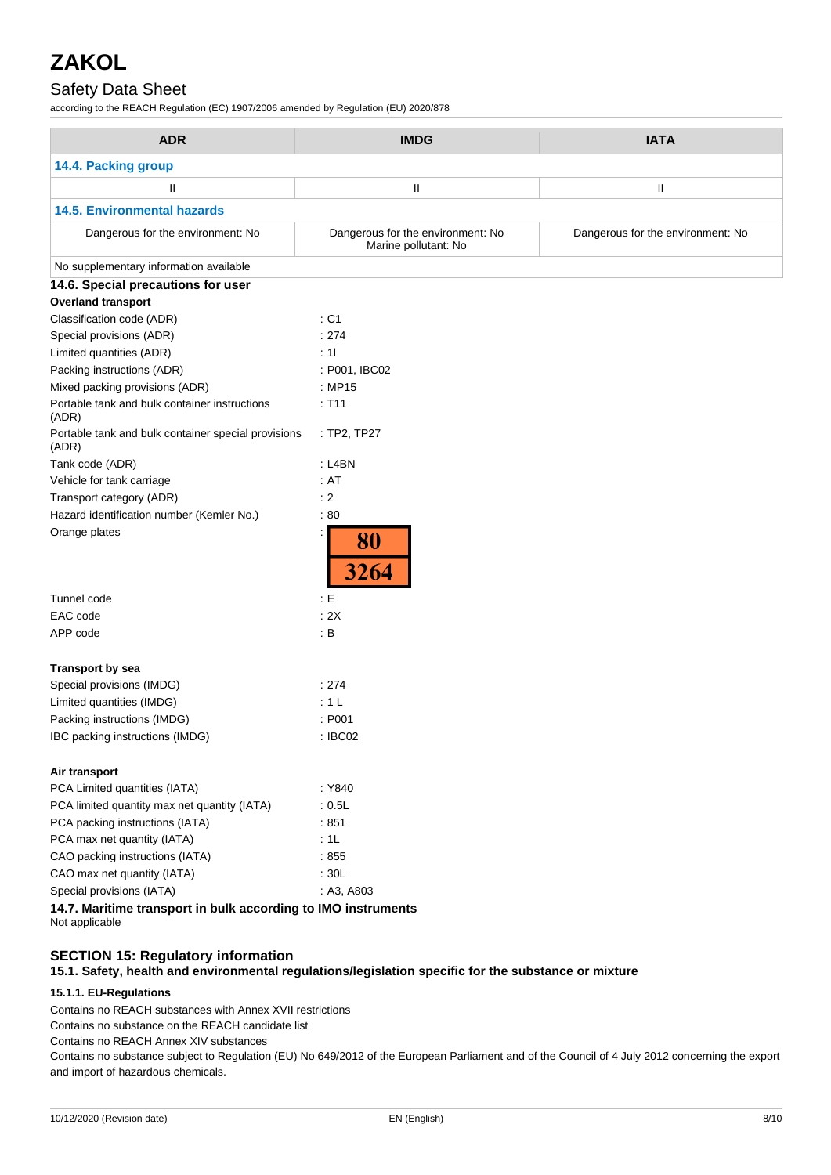### Safety Data Sheet

according to the REACH Regulation (EC) 1907/2006 amended by Regulation (EU) 2020/878

| <b>ADR</b>                                                    | <b>IMDG</b>                                               | <b>IATA</b>                       |
|---------------------------------------------------------------|-----------------------------------------------------------|-----------------------------------|
| 14.4. Packing group                                           |                                                           |                                   |
| Ш                                                             | $\mathbf{II}$                                             | Ш                                 |
| <b>14.5. Environmental hazards</b>                            |                                                           |                                   |
| Dangerous for the environment: No                             | Dangerous for the environment: No<br>Marine pollutant: No | Dangerous for the environment: No |
| No supplementary information available                        |                                                           |                                   |
| 14.6. Special precautions for user                            |                                                           |                                   |
| <b>Overland transport</b>                                     |                                                           |                                   |
| Classification code (ADR)                                     | : C1                                                      |                                   |
| Special provisions (ADR)                                      | : 274                                                     |                                   |
| Limited quantities (ADR)                                      | : 11                                                      |                                   |
| Packing instructions (ADR)                                    | : P001, IBC02                                             |                                   |
| Mixed packing provisions (ADR)                                | : MP15                                                    |                                   |
| Portable tank and bulk container instructions<br>(ADR)        | : T11                                                     |                                   |
| Portable tank and bulk container special provisions<br>(ADR)  | : TP2, TP27                                               |                                   |
| Tank code (ADR)                                               | : L4BN                                                    |                                   |
| Vehicle for tank carriage                                     | : AT                                                      |                                   |
| Transport category (ADR)                                      | : 2                                                       |                                   |
| Hazard identification number (Kemler No.)                     | :80                                                       |                                   |
| Orange plates                                                 | 80<br>3264                                                |                                   |
| Tunnel code                                                   | $\div E$                                                  |                                   |
| EAC code                                                      | : 2X                                                      |                                   |
| APP code                                                      | : B                                                       |                                   |
| <b>Transport by sea</b>                                       |                                                           |                                   |
| Special provisions (IMDG)                                     | : 274                                                     |                                   |
| Limited quantities (IMDG)                                     | : 1L                                                      |                                   |
| Packing instructions (IMDG)                                   | : P001                                                    |                                   |
| IBC packing instructions (IMDG)                               | : IBC02                                                   |                                   |
| Air transport                                                 |                                                           |                                   |
| PCA Limited quantities (IATA)                                 | : Y840                                                    |                                   |
| PCA limited quantity max net quantity (IATA)                  | : 0.5L                                                    |                                   |
| PCA packing instructions (IATA)                               | :851                                                      |                                   |
| PCA max net quantity (IATA)                                   | :1L                                                       |                                   |
| CAO packing instructions (IATA)                               | :855                                                      |                                   |
| CAO max net quantity (IATA)                                   | : 30L                                                     |                                   |
| Special provisions (IATA)                                     | : A3, A803                                                |                                   |
| 14.7. Maritime transport in bulk according to IMO instruments |                                                           |                                   |

Not applicable

### **SECTION 15: Regulatory information**

**15.1. Safety, health and environmental regulations/legislation specific for the substance or mixture**

#### **15.1.1. EU-Regulations**

Contains no REACH substances with Annex XVII restrictions

Contains no substance on the REACH candidate list

Contains no REACH Annex XIV substances

Contains no substance subject to Regulation (EU) No 649/2012 of the European Parliament and of the Council of 4 July 2012 concerning the export and import of hazardous chemicals.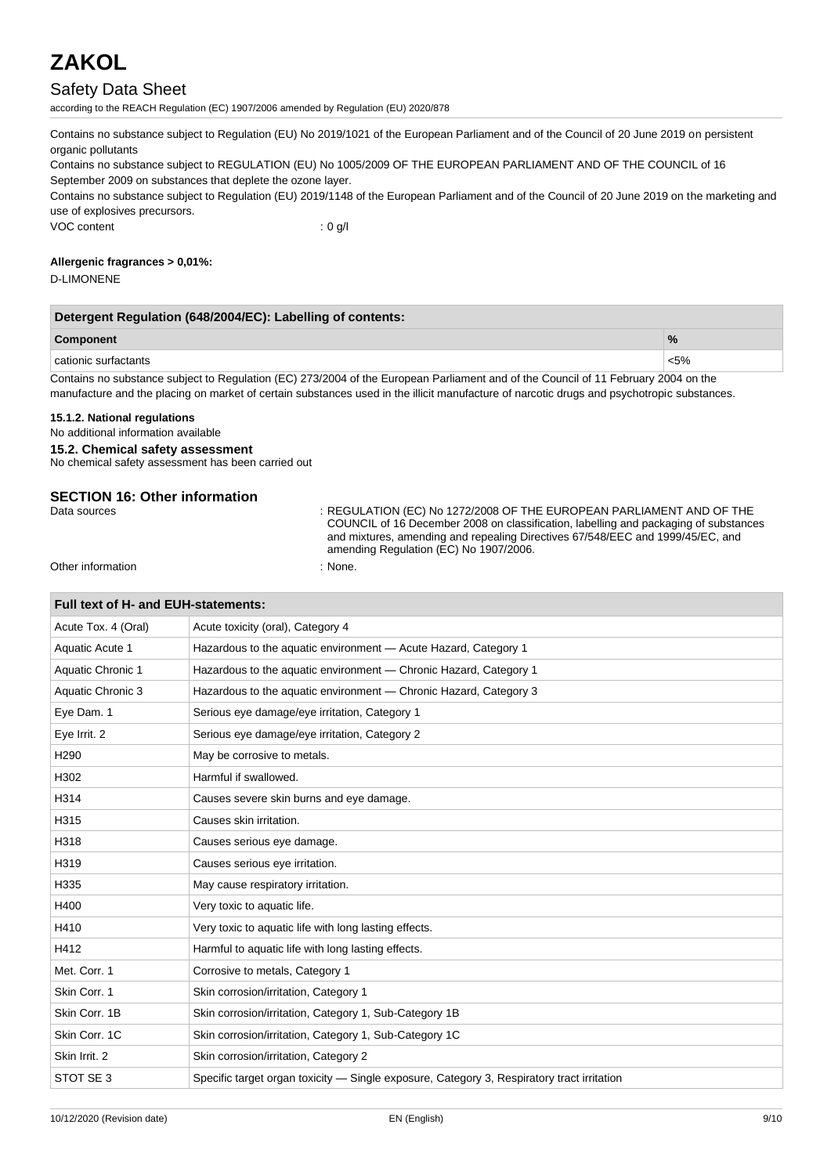### Safety Data Sheet

according to the REACH Regulation (EC) 1907/2006 amended by Regulation (EU) 2020/878

Contains no substance subject to Regulation (EU) No 2019/1021 of the European Parliament and of the Council of 20 June 2019 on persistent organic pollutants

Contains no substance subject to REGULATION (EU) No 1005/2009 OF THE EUROPEAN PARLIAMENT AND OF THE COUNCIL of 16 September 2009 on substances that deplete the ozone layer.

Contains no substance subject to Regulation (EU) 2019/1148 of the European Parliament and of the Council of 20 June 2019 on the marketing and use of explosives precursors.

VOC content : 0 g/l

#### **Allergenic fragrances > 0,01%:**

D-LIMONENE

| Detergent Regulation (648/2004/EC): Labelling of contents:                                                                         |               |  |
|------------------------------------------------------------------------------------------------------------------------------------|---------------|--|
| <b>Component</b>                                                                                                                   | $\frac{9}{6}$ |  |
| cationic surfactants                                                                                                               | $< 5\%$       |  |
| Contains no culture to publicate Demiletion (EO) 079/0004 of the European Delliament and of the Caugail of 44 Echmical 0004 on the |               |  |

Contains no substance subject to Regulation (EC) 273/2004 of the European Parliament and of the Council of 11 February 2004 on the manufacture and the placing on market of certain substances used in the illicit manufacture of narcotic drugs and psychotropic substances.

#### **15.1.2. National regulations**

No additional information available

#### **15.2. Chemical safety assessment**

No chemical safety assessment has been carried out

# **SECTION 16: Other information**<br>Data sources

: REGULATION (EC) No 1272/2008 OF THE EUROPEAN PARLIAMENT AND OF THE COUNCIL of 16 December 2008 on classification, labelling and packaging of substances and mixtures, amending and repealing Directives 67/548/EEC and 1999/45/EC, and amending Regulation (EC) No 1907/2006.

Other information in the contraction of the contraction of the contraction of the contraction of the contraction of the contraction of the contraction of the contraction of the contraction of the contraction of the contrac

 $\mathcal{L} = \mathcal{L}$ 

| Full text of H- and EUH-statements: |                                                                                            |  |  |
|-------------------------------------|--------------------------------------------------------------------------------------------|--|--|
| Acute Tox. 4 (Oral)                 | Acute toxicity (oral), Category 4                                                          |  |  |
| Aquatic Acute 1                     | Hazardous to the aquatic environment - Acute Hazard, Category 1                            |  |  |
| Aquatic Chronic 1                   | Hazardous to the aquatic environment - Chronic Hazard, Category 1                          |  |  |
| Aquatic Chronic 3                   | Hazardous to the aquatic environment - Chronic Hazard, Category 3                          |  |  |
| Eye Dam. 1                          | Serious eye damage/eye irritation, Category 1                                              |  |  |
| Eye Irrit. 2                        | Serious eye damage/eye irritation, Category 2                                              |  |  |
| H <sub>290</sub>                    | May be corrosive to metals.                                                                |  |  |
| H302                                | Harmful if swallowed.                                                                      |  |  |
| H314                                | Causes severe skin burns and eye damage.                                                   |  |  |
| H315                                | Causes skin irritation.                                                                    |  |  |
| H318                                | Causes serious eye damage.                                                                 |  |  |
| H319                                | Causes serious eye irritation.                                                             |  |  |
| H335                                | May cause respiratory irritation.                                                          |  |  |
| H400                                | Very toxic to aquatic life.                                                                |  |  |
| H410                                | Very toxic to aquatic life with long lasting effects.                                      |  |  |
| H412                                | Harmful to aquatic life with long lasting effects.                                         |  |  |
| Met. Corr. 1                        | Corrosive to metals, Category 1                                                            |  |  |
| Skin Corr. 1                        | Skin corrosion/irritation, Category 1                                                      |  |  |
| Skin Corr. 1B                       | Skin corrosion/irritation, Category 1, Sub-Category 1B                                     |  |  |
| Skin Corr. 1C                       | Skin corrosion/irritation, Category 1, Sub-Category 1C                                     |  |  |
| Skin Irrit. 2                       | Skin corrosion/irritation, Category 2                                                      |  |  |
| STOT SE 3                           | Specific target organ toxicity — Single exposure, Category 3, Respiratory tract irritation |  |  |
|                                     |                                                                                            |  |  |